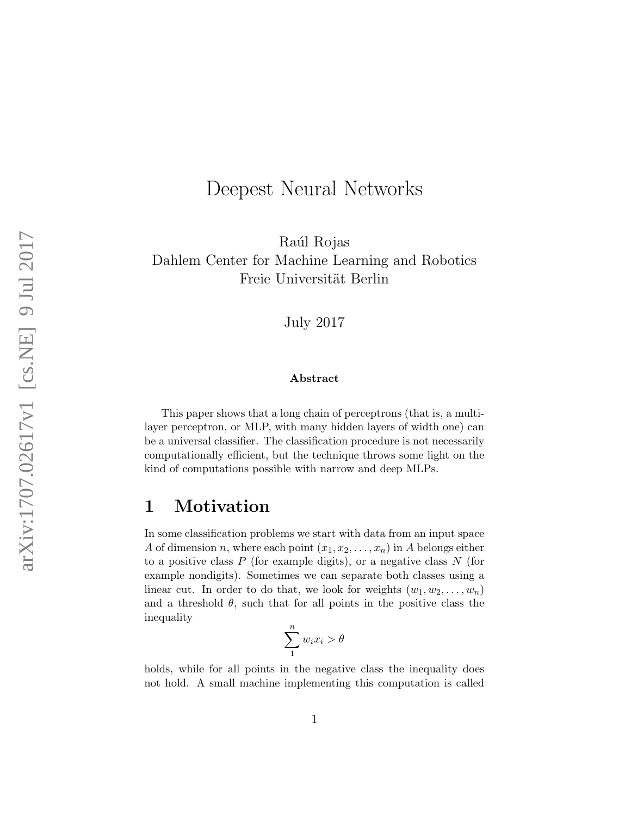# Deepest Neural Networks

Raúl Rojas Dahlem Center for Machine Learning and Robotics Freie Universität Berlin

July 2017

#### Abstract

This paper shows that a long chain of perceptrons (that is, a multilayer perceptron, or MLP, with many hidden layers of width one) can be a universal classifier. The classification procedure is not necessarily computationally efficient, but the technique throws some light on the kind of computations possible with narrow and deep MLPs.

### 1 Motivation

In some classification problems we start with data from an input space A of dimension n, where each point  $(x_1, x_2, \ldots, x_n)$  in A belongs either to a positive class  $P$  (for example digits), or a negative class  $N$  (for example nondigits). Sometimes we can separate both classes using a linear cut. In order to do that, we look for weights  $(w_1, w_2, \ldots, w_n)$ and a threshold  $\theta$ , such that for all points in the positive class the inequality

$$
\sum_{1}^{n} w_i x_i > \theta
$$

holds, while for all points in the negative class the inequality does not hold. A small machine implementing this computation is called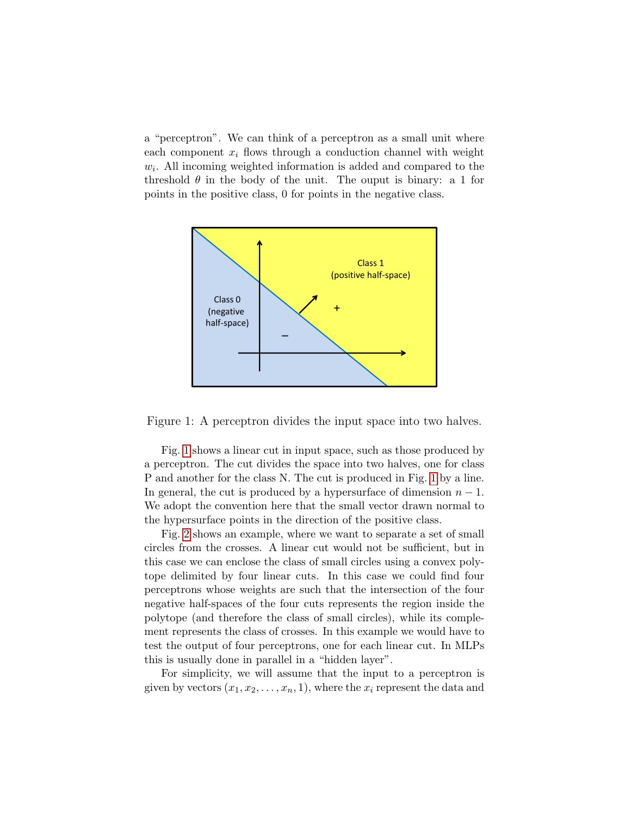a "perceptron". We can think of a perceptron as a small unit where each component  $x_i$  flows through a conduction channel with weight  $w<sub>i</sub>$ . All incoming weighted information is added and compared to the threshold  $\theta$  in the body of the unit. The ouput is binary: a 1 for points in the positive class, 0 for points in the negative class.



<span id="page-1-0"></span>Figure 1: A perceptron divides the input space into two halves.

Fig. [1](#page-1-0) shows a linear cut in input space, such as those produced by a perceptron. The cut divides the space into two halves, one for class P and another for the class N. The cut is produced in Fig. [1](#page-1-0) by a line. In general, the cut is produced by a hypersurface of dimension  $n-1$ . We adopt the convention here that the small vector drawn normal to the hypersurface points in the direction of the positive class.

Fig. [2](#page-2-0) shows an example, where we want to separate a set of small circles from the crosses. A linear cut would not be sufficient, but in this case we can enclose the class of small circles using a convex polytope delimited by four linear cuts. In this case we could find four perceptrons whose weights are such that the intersection of the four negative half-spaces of the four cuts represents the region inside the polytope (and therefore the class of small circles), while its complement represents the class of crosses. In this example we would have to test the output of four perceptrons, one for each linear cut. In MLPs this is usually done in parallel in a "hidden layer".

For simplicity, we will assume that the input to a perceptron is given by vectors  $(x_1, x_2, \ldots, x_n, 1)$ , where the  $x_i$  represent the data and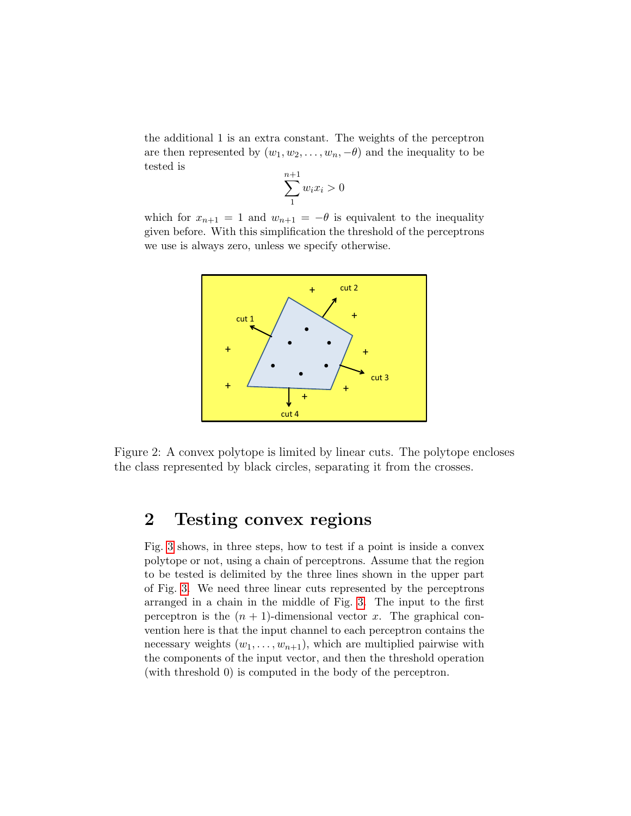the additional 1 is an extra constant. The weights of the perceptron are then represented by  $(w_1, w_2, \ldots, w_n, -\theta)$  and the inequality to be tested is

$$
\sum_{1}^{n+1} w_i x_i > 0
$$

which for  $x_{n+1} = 1$  and  $w_{n+1} = -\theta$  is equivalent to the inequality given before. With this simplification the threshold of the perceptrons we use is always zero, unless we specify otherwise.



<span id="page-2-0"></span>Figure 2: A convex polytope is limited by linear cuts. The polytope encloses the class represented by black circles, separating it from the crosses.

# 2 Testing convex regions

Fig. [3](#page-3-0) shows, in three steps, how to test if a point is inside a convex polytope or not, using a chain of perceptrons. Assume that the region to be tested is delimited by the three lines shown in the upper part of Fig. [3.](#page-3-0) We need three linear cuts represented by the perceptrons arranged in a chain in the middle of Fig. [3.](#page-3-0) The input to the first perceptron is the  $(n + 1)$ -dimensional vector x. The graphical convention here is that the input channel to each perceptron contains the necessary weights  $(w_1, \ldots, w_{n+1})$ , which are multiplied pairwise with the components of the input vector, and then the threshold operation (with threshold 0) is computed in the body of the perceptron.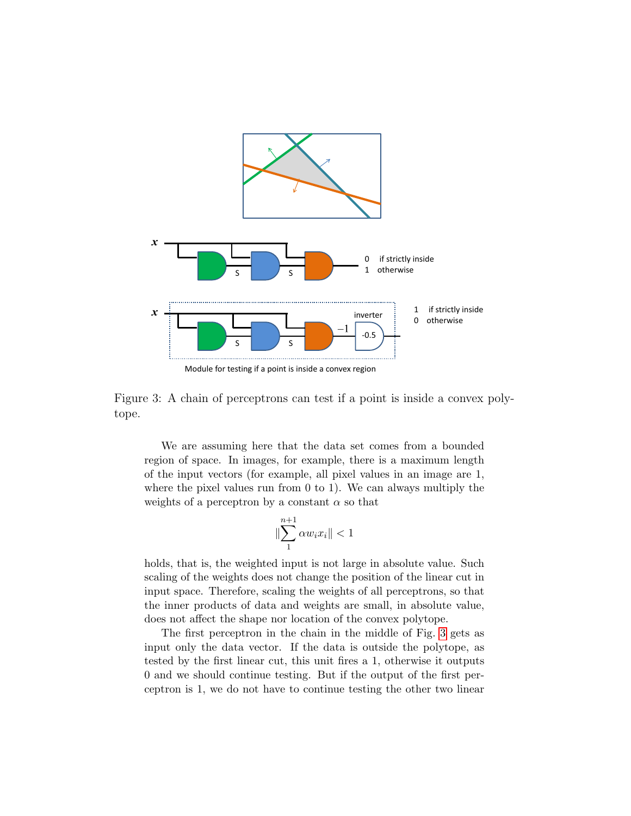

<span id="page-3-0"></span>

Figure 3: A chain of perceptrons can test if a point is inside a convex polytope.

We are assuming here that the data set comes from a bounded region of space. In images, for example, there is a maximum length of the input vectors (for example, all pixel values in an image are 1, where the pixel values run from 0 to 1). We can always multiply the weights of a perceptron by a constant  $\alpha$  so that

$$
\|\sum_{1}^{n+1} \alpha w_i x_i\| < 1
$$

holds, that is, the weighted input is not large in absolute value. Such scaling of the weights does not change the position of the linear cut in input space. Therefore, scaling the weights of all perceptrons, so that the inner products of data and weights are small, in absolute value, does not affect the shape nor location of the convex polytope.

The first perceptron in the chain in the middle of Fig. [3](#page-3-0) gets as input only the data vector. If the data is outside the polytope, as tested by the first linear cut, this unit fires a 1, otherwise it outputs 0 and we should continue testing. But if the output of the first perceptron is 1, we do not have to continue testing the other two linear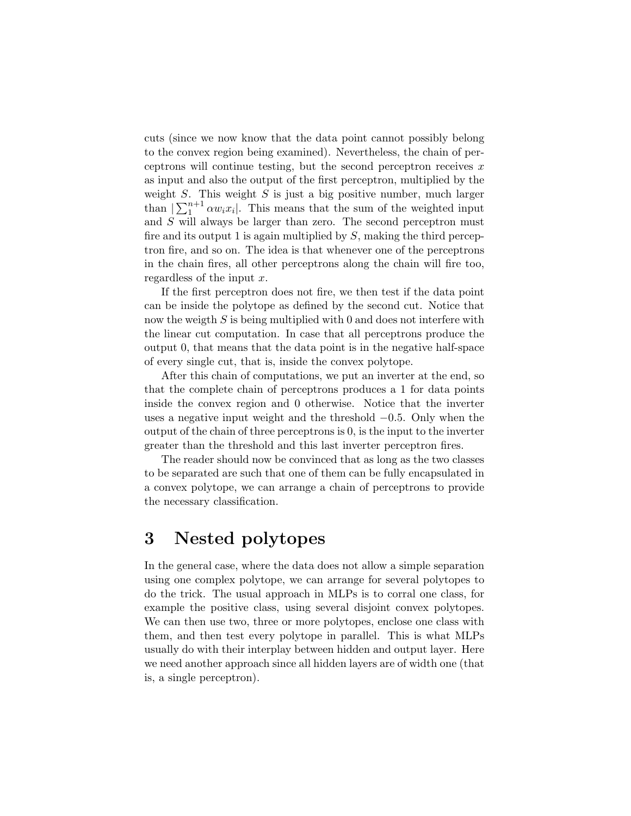cuts (since we now know that the data point cannot possibly belong to the convex region being examined). Nevertheless, the chain of perceptrons will continue testing, but the second perceptron receives  $x$ as input and also the output of the first perceptron, multiplied by the weight  $S$ . This weight  $S$  is just a big positive number, much larger than  $\sum_{i=1}^{n+1} \alpha w_i x_i$ . This means that the sum of the weighted input and S will always be larger than zero. The second perceptron must fire and its output 1 is again multiplied by  $S$ , making the third perceptron fire, and so on. The idea is that whenever one of the perceptrons in the chain fires, all other perceptrons along the chain will fire too, regardless of the input  $x$ .

If the first perceptron does not fire, we then test if the data point can be inside the polytope as defined by the second cut. Notice that now the weigth S is being multiplied with 0 and does not interfere with the linear cut computation. In case that all perceptrons produce the output 0, that means that the data point is in the negative half-space of every single cut, that is, inside the convex polytope.

After this chain of computations, we put an inverter at the end, so that the complete chain of perceptrons produces a 1 for data points inside the convex region and 0 otherwise. Notice that the inverter uses a negative input weight and the threshold −0.5. Only when the output of the chain of three perceptrons is 0, is the input to the inverter greater than the threshold and this last inverter perceptron fires.

The reader should now be convinced that as long as the two classes to be separated are such that one of them can be fully encapsulated in a convex polytope, we can arrange a chain of perceptrons to provide the necessary classification.

## 3 Nested polytopes

In the general case, where the data does not allow a simple separation using one complex polytope, we can arrange for several polytopes to do the trick. The usual approach in MLPs is to corral one class, for example the positive class, using several disjoint convex polytopes. We can then use two, three or more polytopes, enclose one class with them, and then test every polytope in parallel. This is what MLPs usually do with their interplay between hidden and output layer. Here we need another approach since all hidden layers are of width one (that is, a single perceptron).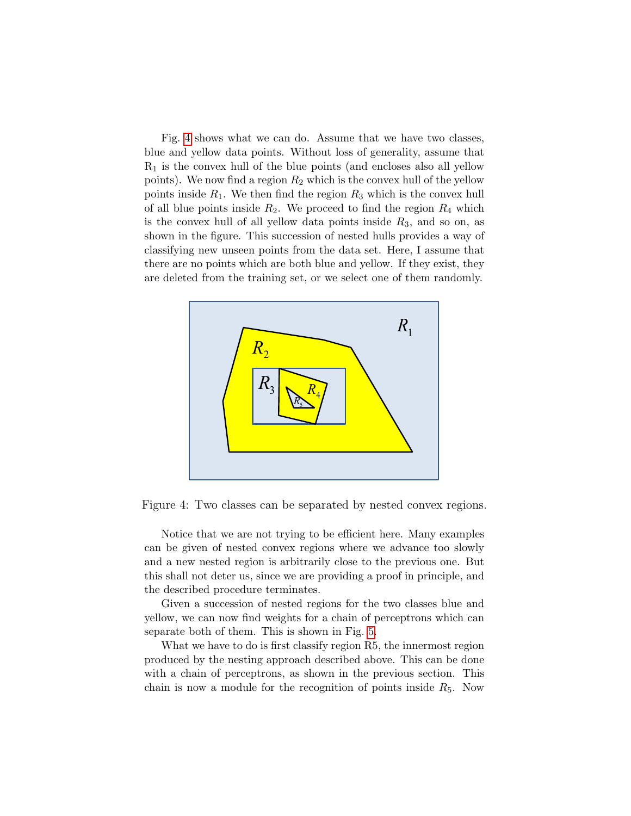Fig. [4](#page-5-0) shows what we can do. Assume that we have two classes, blue and yellow data points. Without loss of generality, assume that  $R_1$  is the convex hull of the blue points (and encloses also all yellow points). We now find a region  $R_2$  which is the convex hull of the yellow points inside  $R_1$ . We then find the region  $R_3$  which is the convex hull of all blue points inside  $R_2$ . We proceed to find the region  $R_4$  which is the convex hull of all yellow data points inside  $R_3$ , and so on, as shown in the figure. This succession of nested hulls provides a way of classifying new unseen points from the data set. Here, I assume that there are no points which are both blue and yellow. If they exist, they are deleted from the training set, or we select one of them randomly.



<span id="page-5-0"></span>Figure 4: Two classes can be separated by nested convex regions.

Notice that we are not trying to be efficient here. Many examples can be given of nested convex regions where we advance too slowly and a new nested region is arbitrarily close to the previous one. But this shall not deter us, since we are providing a proof in principle, and the described procedure terminates.

Given a succession of nested regions for the two classes blue and yellow, we can now find weights for a chain of perceptrons which can separate both of them. This is shown in Fig. [5.](#page-6-0)

What we have to do is first classify region R5, the innermost region produced by the nesting approach described above. This can be done with a chain of perceptrons, as shown in the previous section. This chain is now a module for the recognition of points inside  $R_5$ . Now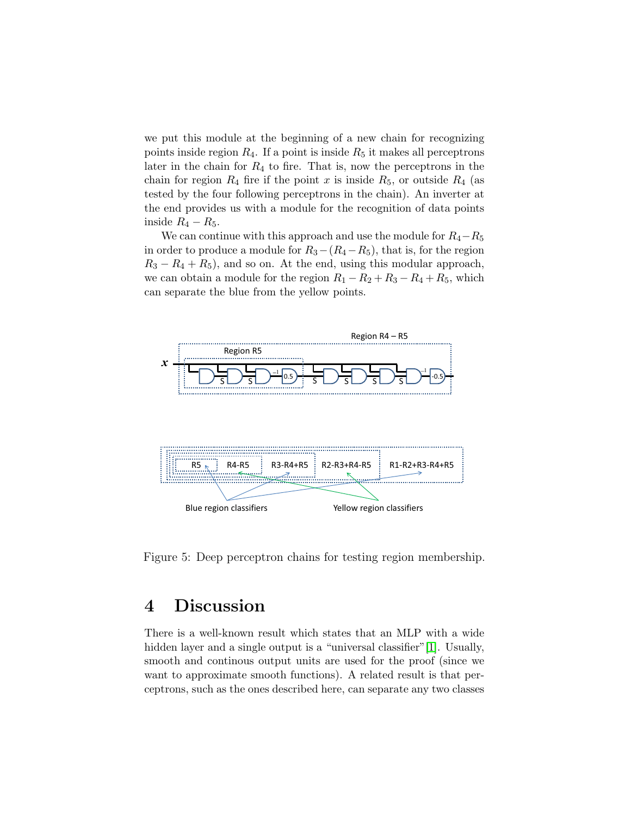we put this module at the beginning of a new chain for recognizing points inside region  $R_4$ . If a point is inside  $R_5$  it makes all perceptrons later in the chain for  $R_4$  to fire. That is, now the perceptrons in the chain for region  $R_4$  fire if the point x is inside  $R_5$ , or outside  $R_4$  (as tested by the four following perceptrons in the chain). An inverter at the end provides us with a module for the recognition of data points inside  $R_4 - R_5$ .

We can continue with this approach and use the module for  $R_4-R_5$ in order to produce a module for  $R_3-(R_4-R_5)$ , that is, for the region  $R_3 - R_4 + R_5$ , and so on. At the end, using this modular approach, we can obtain a module for the region  $R_1 - R_2 + R_3 - R_4 + R_5$ , which can separate the blue from the yellow points.



<span id="page-6-0"></span>Figure 5: Deep perceptron chains for testing region membership.

## 4 Discussion

There is a well-known result which states that an MLP with a wide hidden layer and a single output is a "universal classifier"[\[1\]](#page-8-0). Usually, smooth and continous output units are used for the proof (since we want to approximate smooth functions). A related result is that perceptrons, such as the ones described here, can separate any two classes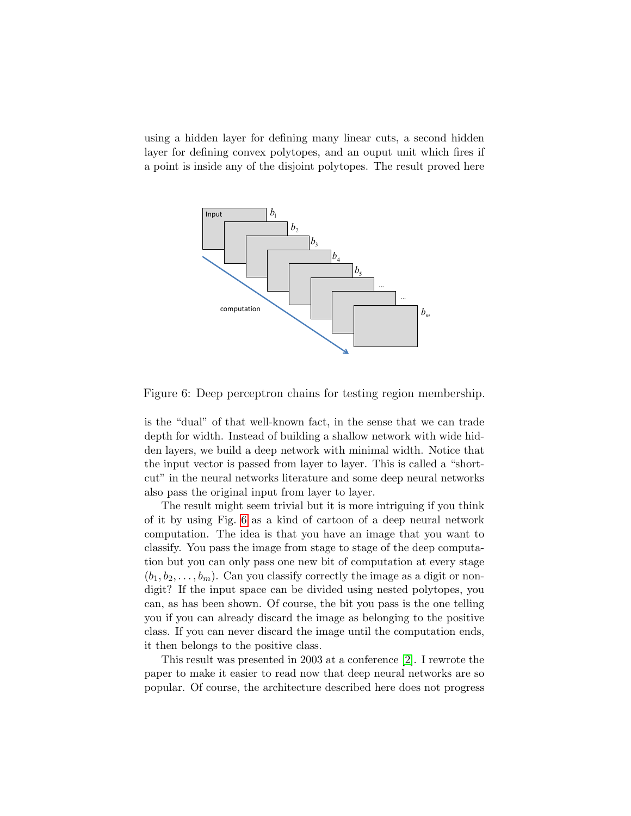using a hidden layer for defining many linear cuts, a second hidden layer for defining convex polytopes, and an ouput unit which fires if a point is inside any of the disjoint polytopes. The result proved here



<span id="page-7-0"></span>Figure 6: Deep perceptron chains for testing region membership.

is the "dual" of that well-known fact, in the sense that we can trade depth for width. Instead of building a shallow network with wide hidden layers, we build a deep network with minimal width. Notice that the input vector is passed from layer to layer. This is called a "shortcut" in the neural networks literature and some deep neural networks also pass the original input from layer to layer.

The result might seem trivial but it is more intriguing if you think of it by using Fig. [6](#page-7-0) as a kind of cartoon of a deep neural network computation. The idea is that you have an image that you want to classify. You pass the image from stage to stage of the deep computation but you can only pass one new bit of computation at every stage  $(b_1, b_2, \ldots, b_m)$ . Can you classify correctly the image as a digit or nondigit? If the input space can be divided using nested polytopes, you can, as has been shown. Of course, the bit you pass is the one telling you if you can already discard the image as belonging to the positive class. If you can never discard the image until the computation ends, it then belongs to the positive class.

This result was presented in 2003 at a conference [\[2\]](#page-8-1). I rewrote the paper to make it easier to read now that deep neural networks are so popular. Of course, the architecture described here does not progress